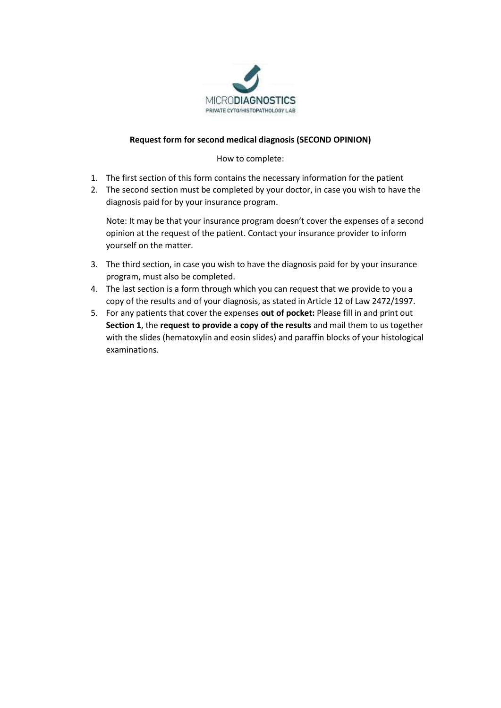

## **Request form for second medical diagnosis (SECOND OPINION)**

How to complete:

- 1. The first section of this form contains the necessary information for the patient
- 2. The second section must be completed by your doctor, in case you wish to have the diagnosis paid for by your insurance program.

Note: It may be that your insurance program doesn't cover the expenses of a second opinion at the request of the patient. Contact your insurance provider to inform yourself on the matter.

- 3. The third section, in case you wish to have the diagnosis paid for by your insurance program, must also be completed.
- 4. The last section is a form through which you can request that we provide to you a copy of the results and of your diagnosis, as stated in Article 12 of Law 2472/1997.
- 5. For any patients that cover the expenses **out of pocket:** Please fill in and print out **Section 1**, the **request to provide a copy of the results** and mail them to us together with the slides (hematoxylin and eosin slides) and paraffin blocks of your histological examinations.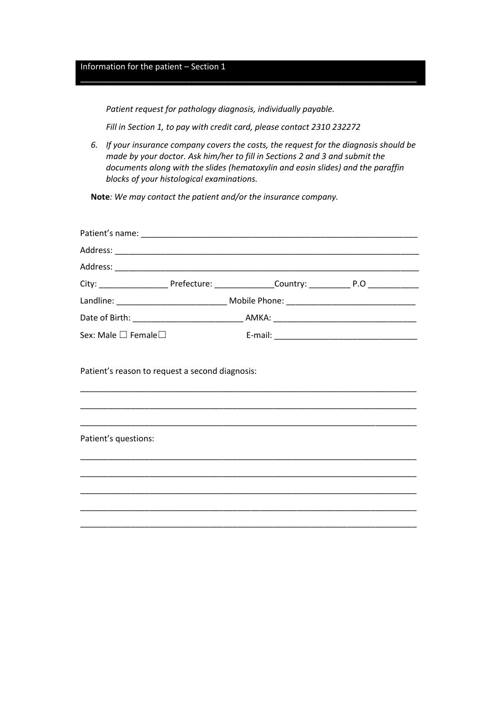## Information for the patient – Section 1

*Patient request for pathology diagnosis, individually payable.*

*Fill in Section 1, to pay with credit card, please contact 2310 232272*

*6. If your insurance company covers the costs, the request for the diagnosis should be made by your doctor. Ask him/her to fill in Sections 2 and 3 and submit the documents along with the slides (hematoxylin and eosin slides) and the paraffin blocks of your histological examinations.*

\_\_\_\_\_\_\_\_\_\_\_\_\_\_\_\_\_\_\_\_\_\_\_\_\_\_\_\_\_\_\_\_\_\_\_\_\_\_\_\_\_\_\_\_\_\_\_\_\_\_\_\_\_\_\_\_\_\_\_\_\_\_\_\_\_\_\_\_\_\_\_\_\_

**Note***: We may contact the patient and/or the insurance company.*

| City: ________________________Prefecture: __________________Country: _______________________________                                                                     |  |  |  |
|--------------------------------------------------------------------------------------------------------------------------------------------------------------------------|--|--|--|
|                                                                                                                                                                          |  |  |  |
|                                                                                                                                                                          |  |  |  |
| Sex: Male □ Female□                                                                                                                                                      |  |  |  |
| Patient's reason to request a second diagnosis:<br><u> 1980 - Johann Stoff, deutscher Stoff, der Stoff, der Stoff, der Stoff, der Stoff, der Stoff, der Stoff, der S</u> |  |  |  |
| Patient's questions:                                                                                                                                                     |  |  |  |
|                                                                                                                                                                          |  |  |  |
|                                                                                                                                                                          |  |  |  |
|                                                                                                                                                                          |  |  |  |
|                                                                                                                                                                          |  |  |  |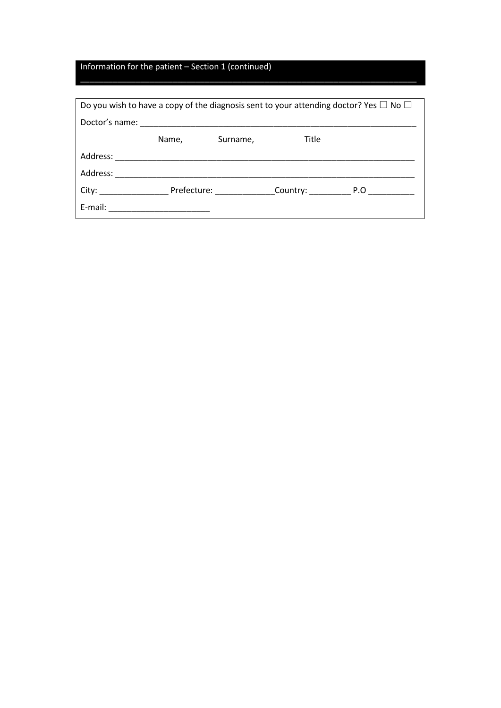## Information for the patient – Section 1 (continued)

| Do you wish to have a copy of the diagnosis sent to your attending doctor? Yes $\Box$ No $\Box$ |       |                                                                                                                |              |  |
|-------------------------------------------------------------------------------------------------|-------|----------------------------------------------------------------------------------------------------------------|--------------|--|
|                                                                                                 |       |                                                                                                                |              |  |
|                                                                                                 | Name, | Surname,                                                                                                       | Title        |  |
| Address:                                                                                        |       |                                                                                                                |              |  |
| Address:                                                                                        |       |                                                                                                                |              |  |
| City:                                                                                           |       | Prefecture: The Management of the Second Second Second Second Second Second Second Second Second Second Second | Country: P.O |  |
| E-mail:                                                                                         |       |                                                                                                                |              |  |

\_\_\_\_\_\_\_\_\_\_\_\_\_\_\_\_\_\_\_\_\_\_\_\_\_\_\_\_\_\_\_\_\_\_\_\_\_\_\_\_\_\_\_\_\_\_\_\_\_\_\_\_\_\_\_\_\_\_\_\_\_\_\_\_\_\_\_\_\_\_\_\_\_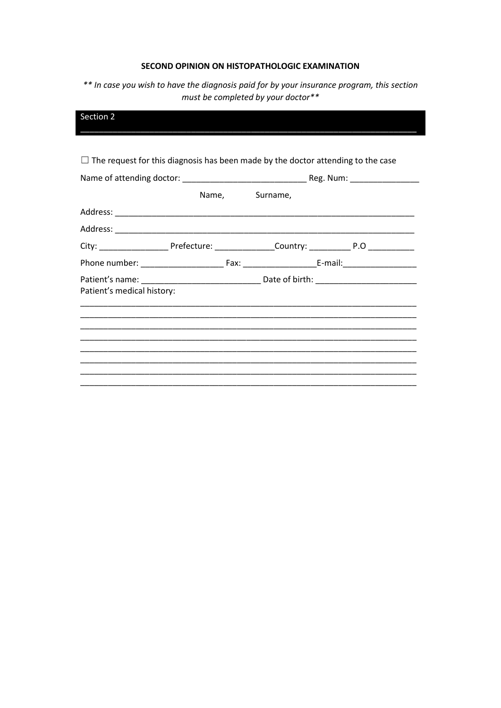## SECOND OPINION ON HISTOPATHOLOGIC EXAMINATION

\*\* In case you wish to have the diagnosis paid for by your insurance program, this section must be completed by your doctor\*\*

| Section 2                  |                                                                                         |  |                                                                                                      |
|----------------------------|-----------------------------------------------------------------------------------------|--|------------------------------------------------------------------------------------------------------|
|                            |                                                                                         |  |                                                                                                      |
|                            | $\Box$ The request for this diagnosis has been made by the doctor attending to the case |  |                                                                                                      |
|                            |                                                                                         |  |                                                                                                      |
|                            | Name, Surname,                                                                          |  |                                                                                                      |
|                            |                                                                                         |  |                                                                                                      |
|                            |                                                                                         |  |                                                                                                      |
|                            |                                                                                         |  | City: ________________________Prefecture: ___________________Country: ______________________________ |
|                            |                                                                                         |  |                                                                                                      |
|                            |                                                                                         |  |                                                                                                      |
| Patient's medical history: |                                                                                         |  |                                                                                                      |
|                            |                                                                                         |  |                                                                                                      |
|                            |                                                                                         |  |                                                                                                      |
|                            |                                                                                         |  |                                                                                                      |
|                            |                                                                                         |  |                                                                                                      |
|                            |                                                                                         |  |                                                                                                      |
|                            |                                                                                         |  |                                                                                                      |